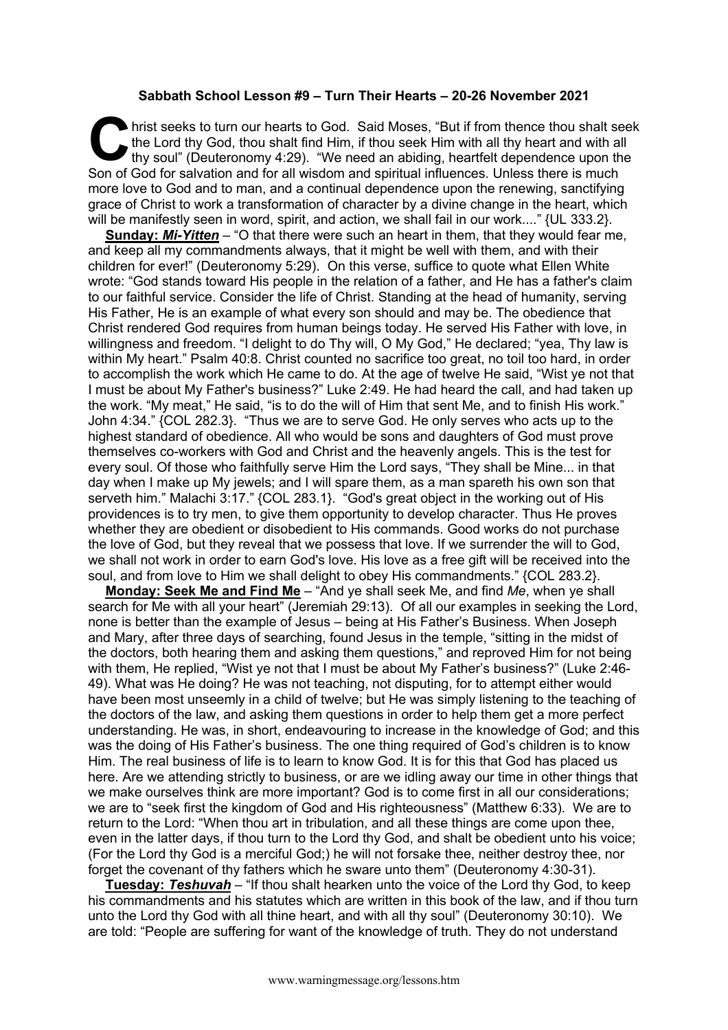## **Sabbath School Lesson #9 – Turn Their Hearts – 20-26 November 2021**

hrist seeks to turn our hearts to God. Said Moses, "But if from thence thou shalt seek the Lord thy God, thou shalt find Him, if thou seek Him with all thy heart and with all thy soul" (Deuteronomy 4:29). "We need an abiding, heartfelt dependence upon the Son of God for salvation and for all wisdom and spiritual influences. Unless there is much more love to God and to man, and a continual dependence upon the renewing, sanctifying grace of Christ to work a transformation of character by a divine change in the heart, which will be manifestly seen in word, spirit, and action, we shall fail in our work...." {UL 333.2}. C hristened in the second in the second in the second second in the second second in the second second in the second second second in the second second second second second second second second second second second second

**Sunday:** *Mi-Yitten* – "O that there were such an heart in them, that they would fear me, and keep all my commandments always, that it might be well with them, and with their children for ever!" (Deuteronomy 5:29). On this verse, suffice to quote what Ellen White wrote: "God stands toward His people in the relation of a father, and He has a father's claim to our faithful service. Consider the life of Christ. Standing at the head of humanity, serving His Father, He is an example of what every son should and may be. The obedience that Christ rendered God requires from human beings today. He served His Father with love, in willingness and freedom. "I delight to do Thy will, O My God," He declared; "yea, Thy law is within My heart." Psalm 40:8. Christ counted no sacrifice too great, no toil too hard, in order to accomplish the work which He came to do. At the age of twelve He said, "Wist ye not that I must be about My Father's business?" Luke 2:49. He had heard the call, and had taken up the work. "My meat," He said, "is to do the will of Him that sent Me, and to finish His work." John 4:34." {COL 282.3}. "Thus we are to serve God. He only serves who acts up to the highest standard of obedience. All who would be sons and daughters of God must prove themselves co-workers with God and Christ and the heavenly angels. This is the test for every soul. Of those who faithfully serve Him the Lord says, "They shall be Mine... in that day when I make up My jewels; and I will spare them, as a man spareth his own son that serveth him." Malachi 3:17." {COL 283.1}. "God's great object in the working out of His providences is to try men, to give them opportunity to develop character. Thus He proves whether they are obedient or disobedient to His commands. Good works do not purchase the love of God, but they reveal that we possess that love. If we surrender the will to God, we shall not work in order to earn God's love. His love as a free gift will be received into the soul, and from love to Him we shall delight to obey His commandments." {COL 283.2}.

**Monday: Seek Me and Find Me** – "And ye shall seek Me, and find *Me*, when ye shall search for Me with all your heart" (Jeremiah 29:13). Of all our examples in seeking the Lord, none is better than the example of Jesus – being at His Father's Business. When Joseph and Mary, after three days of searching, found Jesus in the temple, "sitting in the midst of the doctors, both hearing them and asking them questions," and reproved Him for not being with them, He replied, "Wist ye not that I must be about My Father's business?" (Luke 2:46- 49). What was He doing? He was not teaching, not disputing, for to attempt either would have been most unseemly in a child of twelve; but He was simply listening to the teaching of the doctors of the law, and asking them questions in order to help them get a more perfect understanding. He was, in short, endeavouring to increase in the knowledge of God; and this was the doing of His Father's business. The one thing required of God's children is to know Him. The real business of life is to learn to know God. It is for this that God has placed us here. Are we attending strictly to business, or are we idling away our time in other things that we make ourselves think are more important? God is to come first in all our considerations; we are to "seek first the kingdom of God and His righteousness" (Matthew 6:33). We are to return to the Lord: "When thou art in tribulation, and all these things are come upon thee, even in the latter days, if thou turn to the Lord thy God, and shalt be obedient unto his voice; (For the Lord thy God is a merciful God;) he will not forsake thee, neither destroy thee, nor forget the covenant of thy fathers which he sware unto them" (Deuteronomy 4:30-31).

**Tuesday:** *Teshuvah* – "If thou shalt hearken unto the voice of the Lord thy God, to keep his commandments and his statutes which are written in this book of the law, and if thou turn unto the Lord thy God with all thine heart, and with all thy soul" (Deuteronomy 30:10). We are told: "People are suffering for want of the knowledge of truth. They do not understand